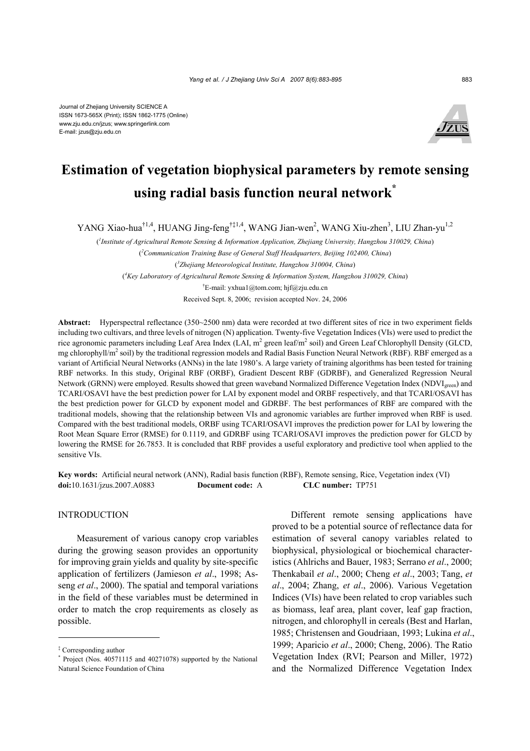

# **Estimation of vegetation biophysical parameters by remote sensing using radial basis function neural network\***

YANG Xiao-hua<sup>†1,4</sup>, HUANG Jing-feng<sup>†‡1,4</sup>, WANG Jian-wen<sup>2</sup>, WANG Xiu-zhen<sup>3</sup>, LIU Zhan-yu<sup>1,2</sup>

( *1 Institute of Agricultural Remote Sensing & Information Application, Zhejiang University, Hangzhou 310029, China*) ( *2 Communication Training Base of General Staff Headquarters, Beijing 102400, China*) ( *3 Zhejiang Meteorological Institute, Hangzhou 310004, China*) ( *4 Key Laboratory of Agricultural Remote Sensing & Information System, Hangzhou 310029, China*) † E-mail: yxhua1@tom.com; hjf@zju.edu.cn

Received Sept. 8, 2006; revision accepted Nov. 24, 2006

**Abstract:** Hyperspectral reflectance (350~2500 nm) data were recorded at two different sites of rice in two experiment fields including two cultivars, and three levels of nitrogen (N) application. Twenty-five Vegetation Indices (VIs) were used to predict the rice agronomic parameters including Leaf Area Index (LAI, m<sup>2</sup> green leaf/m<sup>2</sup> soil) and Green Leaf Chlorophyll Density (GLCD, mg chlorophyll/m<sup>2</sup> soil) by the traditional regression models and Radial Basis Function Neural Network (RBF). RBF emerged as a variant of Artificial Neural Networks (ANNs) in the late 1980's. A large variety of training algorithms has been tested for training RBF networks. In this study, Original RBF (ORBF), Gradient Descent RBF (GDRBF), and Generalized Regression Neural Network (GRNN) were employed. Results showed that green waveband Normalized Difference Vegetation Index (NDVI<sub>green</sub>) and TCARI/OSAVI have the best prediction power for LAI by exponent model and ORBF respectively, and that TCARI/OSAVI has the best prediction power for GLCD by exponent model and GDRBF. The best performances of RBF are compared with the traditional models, showing that the relationship between VIs and agronomic variables are further improved when RBF is used. Compared with the best traditional models, ORBF using TCARI/OSAVI improves the prediction power for LAI by lowering the Root Mean Square Error (RMSE) for 0.1119, and GDRBF using TCARI/OSAVI improves the prediction power for GLCD by lowering the RMSE for 26.7853. It is concluded that RBF provides a useful exploratory and predictive tool when applied to the sensitive VIs.

**Key words:** Artificial neural network (ANN), Radial basis function (RBF), Remote sensing, Rice, Vegetation index (VI) **doi:**10.1631/jzus.2007.A0883 **Document code:** A **CLC number:** TP751

## INTRODUCTION

Measurement of various canopy crop variables during the growing season provides an opportunity for improving grain yields and quality by site-specific application of fertilizers (Jamieson *et al*., 1998; Asseng *et al*., 2000). The spatial and temporal variations in the field of these variables must be determined in order to match the crop requirements as closely as possible.

Different remote sensing applications have proved to be a potential source of reflectance data for estimation of several canopy variables related to biophysical, physiological or biochemical characteristics (Ahlrichs and Bauer, 1983; Serrano *et al*., 2000; Thenkabail *et al*., 2000; Cheng *et al*., 2003; Tang, *et al*., 2004; Zhang, *et al*., 2006). Various Vegetation Indices (VIs) have been related to crop variables such as biomass, leaf area, plant cover, leaf gap fraction, nitrogen, and chlorophyll in cereals (Best and Harlan, 1985; Christensen and Goudriaan, 1993; Lukina *et al*., 1999; Aparicio *et al*., 2000; Cheng, 2006). The Ratio Vegetation Index (RVI; Pearson and Miller, 1972) and the Normalized Difference Vegetation Index

<sup>‡</sup> Corresponding author

<sup>\*</sup> Project (Nos. 40571115 and 40271078) supported by the National Natural Science Foundation of China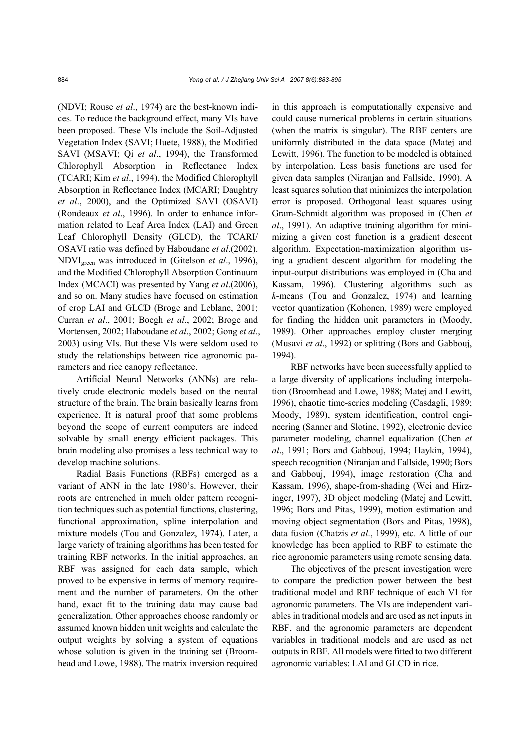(NDVI; Rouse *et al*., 1974) are the best-known indices. To reduce the background effect, many VIs have been proposed. These VIs include the Soil-Adjusted Vegetation Index (SAVI; Huete, 1988), the Modified SAVI (MSAVI; Qi *et al*., 1994), the Transformed Chlorophyll Absorption in Reflectance Index (TCARI; Kim *et al*., 1994), the Modified Chlorophyll Absorption in Reflectance Index (MCARI; Daughtry *et al*., 2000), and the Optimized SAVI (OSAVI) (Rondeaux *et al*., 1996). In order to enhance information related to Leaf Area Index (LAI) and Green Leaf Chlorophyll Density (GLCD), the TCARI/ OSAVI ratio was defined by Haboudane *et al*.(2002). NDVIgreen was introduced in (Gitelson *et al*., 1996), and the Modified Chlorophyll Absorption Continuum Index (MCACI) was presented by Yang *et al*.(2006), and so on. Many studies have focused on estimation of crop LAI and GLCD (Broge and Leblanc, 2001; Curran *et al*., 2001; Boegh *et al*., 2002; Broge and Mortensen, 2002; Haboudane *et al*., 2002; Gong *et al*., 2003) using VIs. But these VIs were seldom used to study the relationships between rice agronomic parameters and rice canopy reflectance.

Artificial Neural Networks (ANNs) are relatively crude electronic models based on the neural structure of the brain. The brain basically learns from experience. It is natural proof that some problems beyond the scope of current computers are indeed solvable by small energy efficient packages. This brain modeling also promises a less technical way to develop machine solutions.

Radial Basis Functions (RBFs) emerged as a variant of ANN in the late 1980's. However, their roots are entrenched in much older pattern recognition techniques such as potential functions, clustering, functional approximation, spline interpolation and mixture models (Tou and Gonzalez, 1974). Later, a large variety of training algorithms has been tested for training RBF networks. In the initial approaches, an RBF was assigned for each data sample, which proved to be expensive in terms of memory requirement and the number of parameters. On the other hand, exact fit to the training data may cause bad generalization. Other approaches choose randomly or assumed known hidden unit weights and calculate the output weights by solving a system of equations whose solution is given in the training set (Broomhead and Lowe, 1988). The matrix inversion required in this approach is computationally expensive and could cause numerical problems in certain situations (when the matrix is singular). The RBF centers are uniformly distributed in the data space (Matej and Lewitt, 1996). The function to be modeled is obtained by interpolation. Less basis functions are used for given data samples (Niranjan and Fallside, 1990). A least squares solution that minimizes the interpolation error is proposed. Orthogonal least squares using Gram-Schmidt algorithm was proposed in (Chen *et al*., 1991). An adaptive training algorithm for minimizing a given cost function is a gradient descent algorithm. Expectation-maximization algorithm using a gradient descent algorithm for modeling the input-output distributions was employed in (Cha and Kassam, 1996). Clustering algorithms such as *k*-means (Tou and Gonzalez, 1974) and learning vector quantization (Kohonen, 1989) were employed for finding the hidden unit parameters in (Moody, 1989). Other approaches employ cluster merging (Musavi *et al*., 1992) or splitting (Bors and Gabbouj, 1994).

RBF networks have been successfully applied to a large diversity of applications including interpolation (Broomhead and Lowe, 1988; Matej and Lewitt, 1996), chaotic time-series modeling (Casdagli, 1989; Moody, 1989), system identification, control engineering (Sanner and Slotine, 1992), electronic device parameter modeling, channel equalization (Chen *et al*., 1991; Bors and Gabbouj, 1994; Haykin, 1994), speech recognition (Niranjan and Fallside, 1990; Bors and Gabbouj, 1994), image restoration (Cha and Kassam, 1996), shape-from-shading (Wei and Hirzinger, 1997), 3D object modeling (Matej and Lewitt, 1996; Bors and Pitas, 1999), motion estimation and moving object segmentation (Bors and Pitas, 1998), data fusion (Chatzis *et al*., 1999), etc. A little of our knowledge has been applied to RBF to estimate the rice agronomic parameters using remote sensing data.

The objectives of the present investigation were to compare the prediction power between the best traditional model and RBF technique of each VI for agronomic parameters. The VIs are independent variables in traditional models and are used as net inputs in RBF, and the agronomic parameters are dependent variables in traditional models and are used as net outputs in RBF. All models were fitted to two different agronomic variables: LAI and GLCD in rice.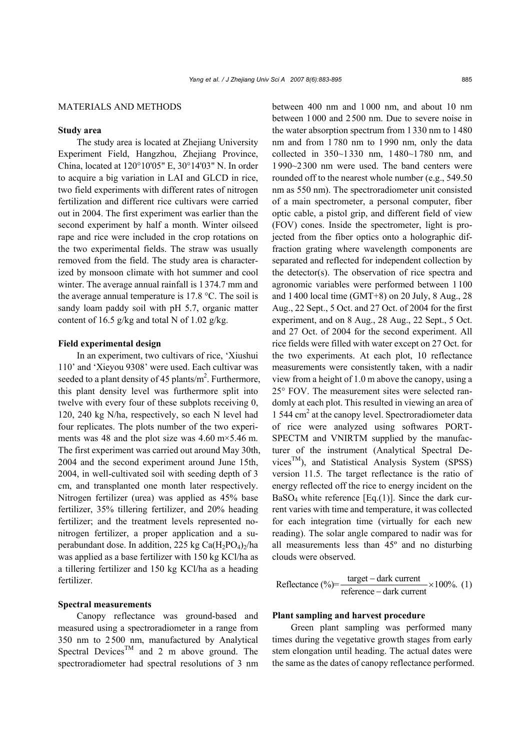#### MATERIALS AND METHODS

## **Study area**

The study area is located at Zhejiang University Experiment Field, Hangzhou, Zhejiang Province, China, located at 120°10'05" E, 30°14'03" N. In order to acquire a big variation in LAI and GLCD in rice, two field experiments with different rates of nitrogen fertilization and different rice cultivars were carried out in 2004. The first experiment was earlier than the second experiment by half a month. Winter oilseed rape and rice were included in the crop rotations on the two experimental fields. The straw was usually removed from the field. The study area is characterized by monsoon climate with hot summer and cool winter. The average annual rainfall is 1374.7 mm and the average annual temperature is 17.8 °C. The soil is sandy loam paddy soil with pH 5.7, organic matter content of 16.5 g/kg and total N of 1.02 g/kg.

#### **Field experimental design**

In an experiment, two cultivars of rice, 'Xiushui 110' and 'Xieyou 9308' were used. Each cultivar was seeded to a plant density of 45 plants/ $m^2$ . Furthermore, this plant density level was furthermore split into twelve with every four of these subplots receiving 0, 120, 240 kg N/ha, respectively, so each N level had four replicates. The plots number of the two experiments was 48 and the plot size was  $4.60 \text{ m} \times 5.46 \text{ m}$ . The first experiment was carried out around May 30th, 2004 and the second experiment around June 15th, 2004, in well-cultivated soil with seeding depth of 3 cm, and transplanted one month later respectively. Nitrogen fertilizer (urea) was applied as 45% base fertilizer, 35% tillering fertilizer, and 20% heading fertilizer; and the treatment levels represented nonitrogen fertilizer, a proper application and a superabundant dose. In addition, 225 kg Ca $(H_2PO_4)$ <sub>2</sub>/ha was applied as a base fertilizer with 150 kg KCl/ha as a tillering fertilizer and 150 kg KCl/ha as a heading fertilizer.

## **Spectral measurements**

Canopy reflectance was ground-based and measured using a spectroradiometer in a range from 350 nm to 2500 nm, manufactured by Analytical Spectral Devices<sup>TM</sup> and 2 m above ground. The spectroradiometer had spectral resolutions of 3 nm between 400 nm and 1000 nm, and about 10 nm between 1000 and 2500 nm. Due to severe noise in the water absorption spectrum from 1330 nm to 1480 nm and from 1780 nm to 1990 nm, only the data collected in 350~1330 nm, 1480~1780 nm, and 1990~2300 nm were used. The band centers were rounded off to the nearest whole number (e.g., 549.50 nm as 550 nm). The spectroradiometer unit consisted of a main spectrometer, a personal computer, fiber optic cable, a pistol grip, and different field of view (FOV) cones. Inside the spectrometer, light is projected from the fiber optics onto a holographic diffraction grating where wavelength components are separated and reflected for independent collection by the detector(s). The observation of rice spectra and agronomic variables were performed between 1100 and 1400 local time (GMT+8) on 20 July, 8 Aug., 28 Aug., 22 Sept., 5 Oct. and 27 Oct. of 2004 for the first experiment, and on 8 Aug., 28 Aug., 22 Sept., 5 Oct. and 27 Oct. of 2004 for the second experiment. All rice fields were filled with water except on 27 Oct. for the two experiments. At each plot, 10 reflectance measurements were consistently taken, with a nadir view from a height of 1.0 m above the canopy, using a 25° FOV. The measurement sites were selected randomly at each plot. This resulted in viewing an area of 1 544 cm<sup>2</sup> at the canopy level. Spectroradiometer data of rice were analyzed using softwares PORT-SPECTM and VNIRTM supplied by the manufacturer of the instrument (Analytical Spectral Devices<sup>TM</sup>), and Statistical Analysis System (SPSS) version 11.5. The target reflectance is the ratio of energy reflected off the rice to energy incident on the  $BaSO<sub>4</sub>$  white reference [Eq.(1)]. Since the dark current varies with time and temperature, it was collected for each integration time (virtually for each new reading). The solar angle compared to nadir was for all measurements less than 45º and no disturbing clouds were observed.

$$
Reference (%) = \frac{target - dark current}{reference - dark current} \times 100\%.
$$
 (1)

#### **Plant sampling and harvest procedure**

Green plant sampling was performed many times during the vegetative growth stages from early stem elongation until heading. The actual dates were the same as the dates of canopy reflectance performed.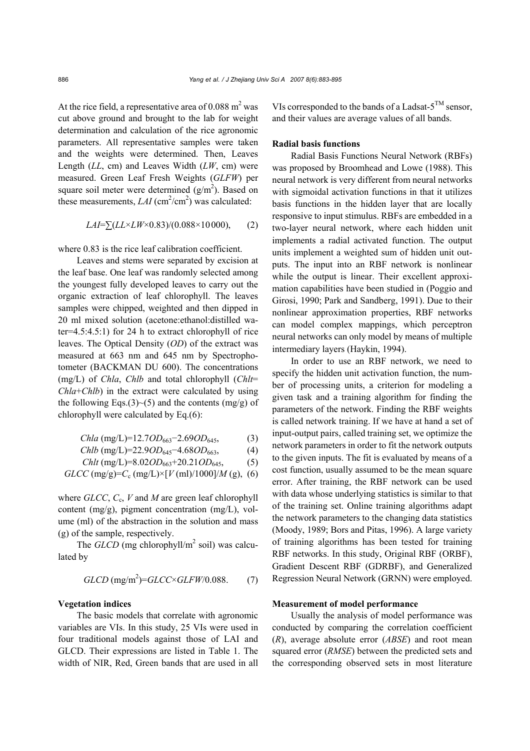At the rice field, a representative area of 0.088  $m<sup>2</sup>$  was cut above ground and brought to the lab for weight determination and calculation of the rice agronomic parameters. All representative samples were taken and the weights were determined. Then, Leaves Length (*LL*, cm) and Leaves Width (*LW*, cm) were measured. Green Leaf Fresh Weights (*GLFW*) per square soil meter were determined  $(g/m<sup>2</sup>)$ . Based on these measurements,  $LAI$  (cm<sup>2</sup>/cm<sup>2</sup>) was calculated:

$$
LAI = \sum (LL \times LW \times 0.83) / (0.088 \times 10000), \qquad (2)
$$

where  $0.83$  is the rice leaf calibration coefficient.

Leaves and stems were separated by excision at the leaf base. One leaf was randomly selected among the youngest fully developed leaves to carry out the organic extraction of leaf chlorophyll. The leaves samples were chipped, weighted and then dipped in 20 ml mixed solution (acetone:ethanol:distilled water=4.5:4.5:1) for 24 h to extract chlorophyll of rice leaves. The Optical Density (*OD*) of the extract was measured at 663 nm and 645 nm by Spectrophotometer (BACKMAN DU 600). The concentrations (mg/L) of *Chla*, *Chlb* and total chlorophyll (*Chlt*= *Chla*+*Chlb*) in the extract were calculated by using the following Eqs.(3) $\sim$ (5) and the contents (mg/g) of chlorophyll were calculated by Eq.(6):

$$
Chla \text{ (mg/L)} = 12.7OD_{663} - 2.69OD_{645}, \tag{3}
$$

*Chlb* (mg/L)=22.9*OD*645−4.68*OD*663, (4)

*Chlt* (mg/L)=8.02*OD*663+20.21*OD*645, (5)

$$
GLCC \, (mg/g)=C_c \, (mg/L) \times [V \, (ml)/1000]/M \, (g), \, (6)
$$

where *GLCC*, *C*c, *V* and *M* are green leaf chlorophyll content (mg/g), pigment concentration (mg/L), volume (ml) of the abstraction in the solution and mass (g) of the sample, respectively.

The  $GLCD$  (mg chlorophyll/m<sup>2</sup> soil) was calculated by

$$
GLCD \text{ (mg/m}^2) = GLCC \times GLFW/0.088. \tag{7}
$$

#### **Vegetation indices**

The basic models that correlate with agronomic variables are VIs. In this study, 25 VIs were used in four traditional models against those of LAI and GLCD. Their expressions are listed in Table 1. The width of NIR, Red, Green bands that are used in all

VIs corresponded to the bands of a Ladsat- $5^{TM}$  sensor, and their values are average values of all bands.

#### **Radial basis functions**

Radial Basis Functions Neural Network (RBFs) was proposed by Broomhead and Lowe (1988). This neural network is very different from neural networks with sigmoidal activation functions in that it utilizes basis functions in the hidden layer that are locally responsive to input stimulus. RBFs are embedded in a two-layer neural network, where each hidden unit implements a radial activated function. The output units implement a weighted sum of hidden unit outputs. The input into an RBF network is nonlinear while the output is linear. Their excellent approximation capabilities have been studied in (Poggio and Girosi, 1990; Park and Sandberg, 1991). Due to their nonlinear approximation properties, RBF networks can model complex mappings, which perceptron neural networks can only model by means of multiple intermediary layers (Haykin, 1994).

In order to use an RBF network, we need to specify the hidden unit activation function, the number of processing units, a criterion for modeling a given task and a training algorithm for finding the parameters of the network. Finding the RBF weights is called network training. If we have at hand a set of input-output pairs, called training set, we optimize the network parameters in order to fit the network outputs to the given inputs. The fit is evaluated by means of a cost function, usually assumed to be the mean square error. After training, the RBF network can be used with data whose underlying statistics is similar to that of the training set. Online training algorithms adapt the network parameters to the changing data statistics (Moody, 1989; Bors and Pitas, 1996). A large variety of training algorithms has been tested for training RBF networks. In this study, Original RBF (ORBF), Gradient Descent RBF (GDRBF), and Generalized Regression Neural Network (GRNN) were employed.

## **Measurement of model performance**

Usually the analysis of model performance was conducted by comparing the correlation coefficient (*R*), average absolute error (*ABSE*) and root mean squared error (*RMSE*) between the predicted sets and the corresponding observed sets in most literature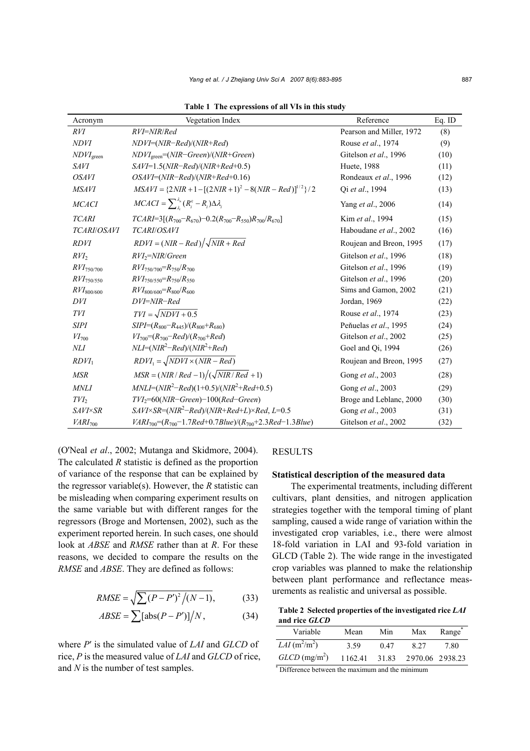| Acronym            | Vegetation Index                                                         | Reference                | Eq. ID |
|--------------------|--------------------------------------------------------------------------|--------------------------|--------|
| RVI                | RVI=NIR/Red                                                              | Pearson and Miller, 1972 | (8)    |
| <i>NDVI</i>        | NDVI=(NIR-Red)/(NIR+Red)                                                 | Rouse et al., 1974       | (9)    |
| $NDVI_{green}$     | $NDVI_{green} = (NIR-Green)/(NIR+Green)$                                 | Gitelson et al., 1996    | (10)   |
| <b>SAVI</b>        | $SAVI=1.5(NIR-Red)/(NIR+Red+0.5)$                                        | Huete, 1988              | (11)   |
| <i>OSAVI</i>       | $OSAVI=(NIR-Red)/(NIR+Red+0.16)$                                         | Rondeaux et al., 1996    | (12)   |
| <b>MSAVI</b>       | $MSAVI = \{2NIR + 1 - [(2NIR + 1)^2 - 8(NIR - Red)]^{1/2}\}/2$           | Oi et al., 1994          | (13)   |
| <b>MCACI</b>       | $MCACI = \sum_{\lambda}^{\lambda_n} (R_i^c - R_i) \Delta \lambda_i$      | Yang et al., 2006        | (14)   |
| <b>TCARI</b>       | $TCARI=3[(R_{700}-R_{670})-0.2(R_{700}-R_{550})R_{700}/R_{670}]$         | Kim et al., 1994         | (15)   |
| <b>TCARI/OSAVI</b> | TCARI/OSAVI                                                              | Haboudane et al., 2002   | (16)   |
| <b>RDVI</b>        | $RDVI = (NIR - Red) / \sqrt{NIR + Red}$                                  | Roujean and Breon, 1995  | (17)   |
| $RVI_2$            | $RVI_2 = NIR/Green$                                                      | Gitelson et al., 1996    | (18)   |
| $RVI_{750/700}$    | $RVI_{750/700} = R_{750}/R_{700}$                                        | Gitelson et al., 1996    | (19)   |
| $RVI_{750/550}$    | $RVI_{750/550} = R_{750}/R_{550}$                                        | Gitelson et al., 1996    | (20)   |
| $RVI_{800/600}$    | $RVI_{800/600} = R_{800}/R_{600}$                                        | Sims and Gamon, 2002     | (21)   |
| DVI                | DVI=NIR-Red                                                              | Jordan, 1969             | (22)   |
| TVI                | $TVI = \sqrt{NDVI + 0.5}$                                                | Rouse et al., 1974       | (23)   |
| <b>SIPI</b>        | $SIPI=(R_{800}-R_{445})/(R_{800}+R_{680})$                               | Peňuelas et al., 1995    | (24)   |
| $VI_{700}$         | $VI_{700} = (R_{700} - Red)/(R_{700} + Red)$                             | Gitelson et al., 2002    | (25)   |
| NLI                | $NLI=(NIR^2–Red)/(NIR^2+Red)$                                            | Goel and Qi, 1994        | (26)   |
| $RDVI_1$           | $RDVI_1 = \sqrt{NDVI \times (NIR - Red)}$                                | Roujean and Breon, 1995  | (27)   |
| <b>MSR</b>         | $MSR = (NIR/Red-1)/(\sqrt{NIR/Red}+1)$                                   | Gong et al., 2003        | (28)   |
| <b>MNLI</b>        | $MNLI=(NIR^2–Red)(1+0.5)/(NIR^2+Red+0.5)$                                | Gong et al., 2003        | (29)   |
| $TVI_2$            | $TVI_2 = 60(NIR - Green) - 100(Red - Green)$                             | Broge and Leblanc, 2000  | (30)   |
| <b>SAVI×SR</b>     | $SAVI \times SR = (NIR^2 - Red)/(NIR + Red + L) \times Red, L = 0.5$     | Gong et al., 2003        | (31)   |
| $VARI_{700}$       | $VARI_{700} = (R_{700} - 1.7Red + 0.7Blue)/(R_{700} + 2.3Red - 1.3Blue)$ | Gitelson et al., 2002    | (32)   |

**Table 1 The expressions of all VIs in this study** 

(O'Neal *et al*., 2002; Mutanga and Skidmore, 2004). The calculated *R* statistic is defined as the proportion of variance of the response that can be explained by the regressor variable(s). However, the *R* statistic can be misleading when comparing experiment results on the same variable but with different ranges for the regressors (Broge and Mortensen, 2002), such as the experiment reported herein. In such cases, one should look at *ABSE* and *RMSE* rather than at *R*. For these reasons, we decided to compare the results on the *RMSE* and *ABSE*. They are defined as follows:

$$
RMSE = \sqrt{\sum (P - P')^{2} / (N - 1)},
$$
 (33)

$$
ABSE = \sum [\text{abs}(P - P')] / N, \qquad (34)
$$

where *P*′ is the simulated value of *LAI* and *GLCD* of rice, *P* is the measured value of *LAI* and *GLCD* of rice, and *N* is the number of test samples.

### RESULTS

### **Statistical description of the measured data**

The experimental treatments, including different cultivars, plant densities, and nitrogen application strategies together with the temporal timing of plant sampling, caused a wide range of variation within the investigated crop variables, i.e., there were almost 18-fold variation in LAI and 93-fold variation in GLCD (Table 2). The wide range in the investigated crop variables was planned to make the relationship between plant performance and reflectance measurements as realistic and universal as possible.

**Table 2 Selected properties of the investigated rice** *LAI* **and rice** *GLCD*

| Variable                                       | Mean    | Min  | Max                   | $\overline{\text{Range}}^*$ |  |  |  |  |
|------------------------------------------------|---------|------|-----------------------|-----------------------------|--|--|--|--|
| $LAI$ (m <sup>2</sup> /m <sup>2</sup> )        | 3.59    | 0.47 | 8 27                  | 7.80                        |  |  |  |  |
| $GLCD$ (mg/m <sup>2</sup> )                    | 1162.41 |      | 31.83 2970.06 2938.23 |                             |  |  |  |  |
| Nifference between the maximum and the minimum |         |      |                       |                             |  |  |  |  |

Difference between the maximum and the minimum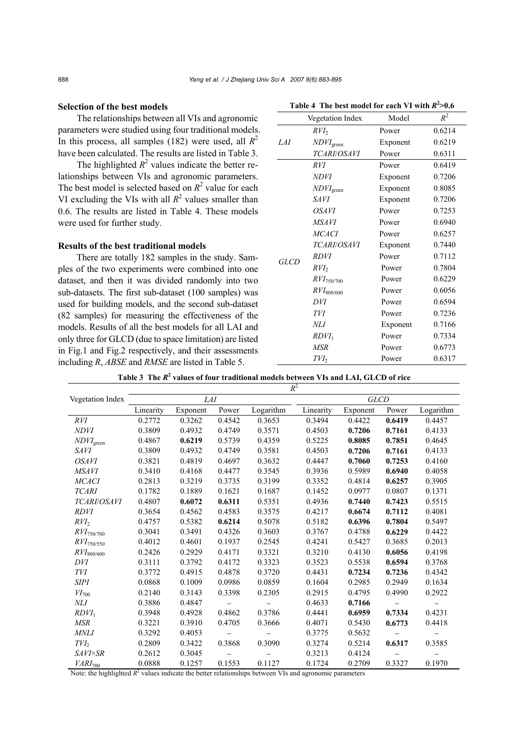#### **Selection of the best models**

The relationships between all VIs and agronomic parameters were studied using four traditional models. In this process, all samples (182) were used, all  $R^2$ have been calculated. The results are listed in Table 3.

The highlighted  $R^2$  values indicate the better relationships between VIs and agronomic parameters. The best model is selected based on  $R^2$  value for each VI excluding the VIs with all  $R^2$  values smaller than 0.6. The results are listed in Table 4. These models were used for further study.

#### **Results of the best traditional models**

There are totally 182 samples in the study. Samples of the two experiments were combined into one dataset, and then it was divided randomly into two sub-datasets. The first sub-dataset (100 samples) was used for building models, and the second sub-dataset (82 samples) for measuring the effectiveness of the models. Results of all the best models for all LAI and only three for GLCD (due to space limitation) are listed in Fig.1 and Fig.2 respectively, and their assessments including *R*, *ABSE* and *RMSE* are listed in Table 5.

|             | <b>Vegetation Index</b>  | Model    | $R^2$  |
|-------------|--------------------------|----------|--------|
|             | $RVI_2$                  | Power    | 0.6214 |
| LAI         | $NDVI$ <sub>green</sub>  | Exponent | 0.6219 |
|             | TCARI/OSAVI              | Power    | 0.6311 |
|             | RVI                      | Power    | 0.6419 |
|             | <b>NDVI</b>              | Exponent | 0.7206 |
|             | $NDVI$ green             | Exponent | 0.8085 |
|             | <b>SAVI</b>              | Exponent | 0.7206 |
|             | <i>OSAVI</i>             | Power    | 0.7253 |
|             | <b>MSAVI</b>             | Power    | 0.6940 |
|             | <b>MCACI</b>             | Power    | 0.6257 |
|             | <b>TCARI/OSAVI</b>       | Exponent | 0.7440 |
| <b>GLCD</b> | RDVI                     | Power    | 0.7112 |
|             | $RVI_2$                  | Power    | 0.7804 |
|             | $RVI_{750/700}$          | Power    | 0.6229 |
|             | $\mathit{RVI}_{800/600}$ | Power    | 0.6056 |
|             | DVI                      | Power    | 0.6594 |
|             | TVI                      | Power    | 0.7236 |
|             | NLI                      | Exponent | 0.7166 |
|             | $RDVI_1$                 | Power    | 0.7334 |
|             | MSR                      | Power    | 0.6773 |
|             | TVI <sub>2</sub>         | Power    | 0.6317 |

Table 4 The best model for each VI with  $R^2 > 0.6$ 

**Table 3 The** *R***<sup>2</sup> values of four traditional models between VIs and LAI, GLCD of rice** 

|                          |           |            |        |           | $R^2$     |             |        |           |
|--------------------------|-----------|------------|--------|-----------|-----------|-------------|--------|-----------|
| Vegetation Index         |           | <b>LAI</b> |        |           |           | <b>GLCD</b> |        |           |
|                          | Linearity | Exponent   | Power  | Logarithm | Linearity | Exponent    | Power  | Logarithm |
| RVI                      | 0.2772    | 0.3262     | 0.4542 | 0.3653    | 0.3494    | 0.4422      | 0.6419 | 0.4457    |
| <b>NDVI</b>              | 0.3809    | 0.4932     | 0.4749 | 0.3571    | 0.4503    | 0.7206      | 0.7161 | 0.4133    |
| $NDVI_{green}$           | 0.4867    | 0.6219     | 0.5739 | 0.4359    | 0.5225    | 0.8085      | 0.7851 | 0.4645    |
| <i>SAVI</i>              | 0.3809    | 0.4932     | 0.4749 | 0.3581    | 0.4503    | 0.7206      | 0.7161 | 0.4133    |
| <b>OSAVI</b>             | 0.3821    | 0.4819     | 0.4697 | 0.3632    | 0.4447    | 0.7060      | 0.7253 | 0.4160    |
| <b>MSAVI</b>             | 0.3410    | 0.4168     | 0.4477 | 0.3545    | 0.3936    | 0.5989      | 0.6940 | 0.4058    |
| <b>MCACI</b>             | 0.2813    | 0.3219     | 0.3735 | 0.3199    | 0.3352    | 0.4814      | 0.6257 | 0.3905    |
| <b>TCARI</b>             | 0.1782    | 0.1889     | 0.1621 | 0.1687    | 0.1452    | 0.0977      | 0.0807 | 0.1371    |
| <b>TCARI/OSAVI</b>       | 0.4807    | 0.6072     | 0.6311 | 0.5351    | 0.4936    | 0.7440      | 0.7423 | 0.5515    |
| RDVI                     | 0.3654    | 0.4562     | 0.4583 | 0.3575    | 0.4217    | 0.6674      | 0.7112 | 0.4081    |
| $RVI_2$                  | 0.4757    | 0.5382     | 0.6214 | 0.5078    | 0.5182    | 0.6396      | 0.7804 | 0.5497    |
| $RVI_{750/700}$          | 0.3041    | 0.3491     | 0.4326 | 0.3603    | 0.3767    | 0.4788      | 0.6229 | 0.4422    |
| $\mathit{RVI}_{750/550}$ | 0.4012    | 0.4601     | 0.1937 | 0.2545    | 0.4241    | 0.5427      | 0.3685 | 0.2013    |
| $\mathit{RVI}_{800/600}$ | 0.2426    | 0.2929     | 0.4171 | 0.3321    | 0.3210    | 0.4130      | 0.6056 | 0.4198    |
| DVI                      | 0.3111    | 0.3792     | 0.4172 | 0.3323    | 0.3523    | 0.5538      | 0.6594 | 0.3768    |
| TVI                      | 0.3772    | 0.4915     | 0.4878 | 0.3720    | 0.4431    | 0.7234      | 0.7236 | 0.4342    |
| <b>SIPI</b>              | 0.0868    | 0.1009     | 0.0986 | 0.0859    | 0.1604    | 0.2985      | 0.2949 | 0.1634    |
| $VI_{700}$               | 0.2140    | 0.3143     | 0.3398 | 0.2305    | 0.2915    | 0.4795      | 0.4990 | 0.2922    |
| NLI                      | 0.3886    | 0.4847     |        |           | 0.4633    | 0.7166      |        |           |
| $RDVI_1$                 | 0.3948    | 0.4928     | 0.4862 | 0.3786    | 0.4441    | 0.6959      | 0.7334 | 0.4231    |
| <b>MSR</b>               | 0.3221    | 0.3910     | 0.4705 | 0.3666    | 0.4071    | 0.5430      | 0.6773 | 0.4418    |
| <b>MNLI</b>              | 0.3292    | 0.4053     |        |           | 0.3775    | 0.5632      |        |           |
| $TVI_2$                  | 0.2809    | 0.3422     | 0.3868 | 0.3090    | 0.3274    | 0.5214      | 0.6317 | 0.3585    |
| SAVI×SR                  | 0.2612    | 0.3045     |        |           | 0.3213    | 0.4124      |        |           |
| VARI <sub>700</sub>      | 0.0888    | 0.1257     | 0.1553 | 0.1127    | 0.1724    | 0.2709      | 0.3327 | 0.1970    |

Note: the highlighted  $R<sup>2</sup>$  values indicate the better relationships between VIs and agronomic parameters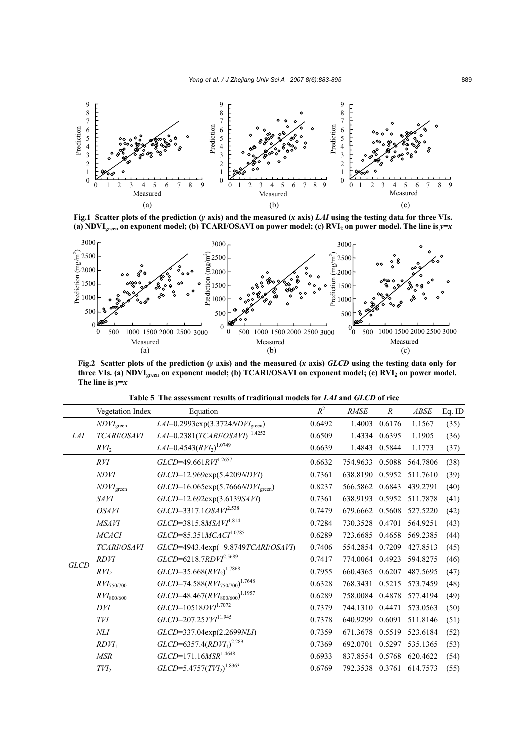

**Fig.1 Scatter plots of the prediction (***y* **axis) and the measured (***x* **axis)** *LAI* **using the testing data for three VIs.**  (a) NDVI<sub>green</sub> on exponent model; (b) TCARI/OSAVI on power model; (c) RVI<sub>2</sub> on power model. The line is  $y=x$ 



**Fig.2 Scatter plots of the prediction (***y* **axis) and the measured (***x* **axis)** *GLCD* **using the testing data only for**  three VIs. (a) NDVI<sub>green</sub> on exponent model; (b) TCARI/OSAVI on exponent model; (c) RVI<sub>2</sub> on power model. **The line is** *y***=***x*

| Table 5 The assessment results of traditional models for LAI and GLCD of rice |  |
|-------------------------------------------------------------------------------|--|
|-------------------------------------------------------------------------------|--|

|             | Vegetation Index      | Equation                                            | $R^2$  | <b>RMSE</b>     | $\boldsymbol{R}$ | <b>ABSE</b> | Eq. ID |
|-------------|-----------------------|-----------------------------------------------------|--------|-----------------|------------------|-------------|--------|
|             | $NDVI_{green}$        | LAI=0.2993 $exp(3.3724NDVIgreen)$                   | 0.6492 | 1.4003          | 0.6176           | 1.1567      | (35)   |
| <i>LAI</i>  | TCARI/OSAVI           | $LAI=0.2381 (TCARI/OSAVI)^{-1.4252}$                | 0.6509 | 1.4334          | 0.6395           | 1.1905      | (36)   |
|             | $RVI_2$               | $LAI = 0.4543 (RVI2)$ <sup>1.0749</sup>             | 0.6639 | 1.4843          | 0.5844           | 1.1773      | (37)   |
|             | RVI                   | $GLCD$ =49.661RVI <sup>1.2657</sup>                 | 0.6632 | 754.9633        | 0.5088           | 564.7806    | (38)   |
|             | <b>NDVI</b>           | GLCD=12.969exp(5.4209NDVI)                          | 0.7361 | 638.8190        | 0.5952           | 511.7610    | (39)   |
|             | $NDVI_\mathrm{green}$ | $GLCD=16.065exp(5.7666NDVIgreen)$                   | 0.8237 | 566.5862        | 0.6843           | 439.2791    | (40)   |
|             | <i>SAVI</i>           | GLCD=12.692exp(3.6139SAVI)                          | 0.7361 | 638.9193        | 0.5952           | 511.7878    | (41)   |
|             | <i>OSAVI</i>          | $GLCD=3317.1OSAVI2.538$                             | 0.7479 | 679.6662        | 0.5608           | 527.5220    | (42)   |
|             | <b>MSAVI</b>          | $GLCD = 3815.8MSAVI^{1.814}$                        | 0.7284 | 730.3528        | 0.4701           | 564.9251    | (43)   |
|             | <b>MCACI</b>          | $GLCD = 85.351 MCACI^{1.0785}$                      | 0.6289 | 723.6685        | 0.4658           | 569.2385    | (44)   |
|             | TCARI/OSAVI           | GLCD=4943.4exp(-9.8749TCARI/OSAVI)                  | 0.7406 | 554.2854        | 0.7209           | 427.8513    | (45)   |
|             | <b>RDVI</b>           | $GLCD = 6218.7 RDV1^{2.5689}$                       | 0.7417 | 774.0064        | 0.4923           | 594.8275    | (46)   |
| <b>GLCD</b> | $RVI_2$               | $GLCD=35.668(RVI2)1.7868$                           | 0.7955 | 660.4365        | 0.6207           | 487.5695    | (47)   |
|             | $RVI_{750/700}$       | $GLCD$ =74.588 $(RVI_{750/700})^{1.7648}$           | 0.6328 | 768.3431        | 0.5215           | 573.7459    | (48)   |
|             | $RVI_{800/600}$       | $GLCD$ =48.467 $(RVI_{800/600})$ <sup>1.1957</sup>  | 0.6289 | 758.0084        | 0.4878           | 577.4194    | (49)   |
|             | DVI                   | $GLCD=10518DYI^{1.7072}$                            | 0.7379 | 744.1310        | 0.4471           | 573.0563    | (50)   |
|             | <b>TVI</b>            | GLCD=207.25TVI <sup>11.945</sup>                    | 0.7378 | 640.9299        | 0.6091           | 511.8146    | (51)   |
|             | NLI                   | GLCD=337.04exp(2.2699NLI)                           | 0.7359 | 671.3678        | 0.5519           | 523.6184    | (52)   |
|             | $RDVI_1$              | $GLCD$ =6357.4(RDVI <sub>1</sub> ) <sup>2.289</sup> | 0.7369 | 692.0701        | 0.5297           | 535.1365    | (53)   |
|             | <b>MSR</b>            | $GLCD=171.16MSR^{1.4648}$                           | 0.6933 | 837.8554        | 0.5768           | 620.4622    | (54)   |
|             | $TVI_2$               | $GLCD = 5.4757(TVI_2)^{1.8363}$                     | 0.6769 | 792.3538 0.3761 |                  | 614.7573    | (55)   |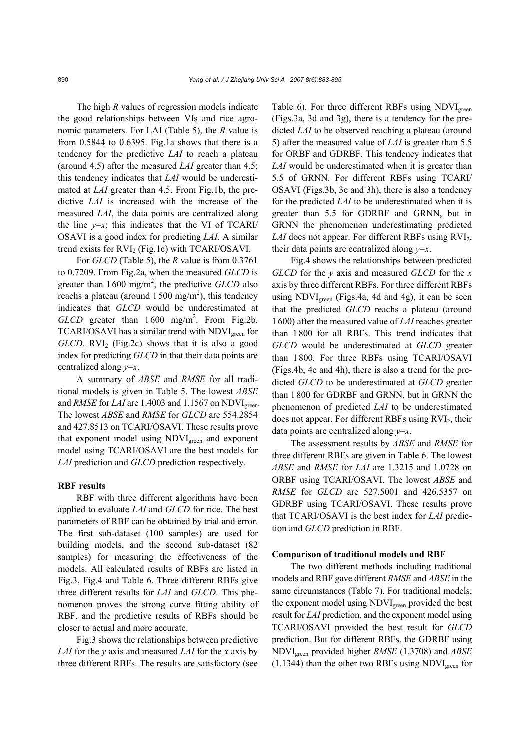The high *R* values of regression models indicate the good relationships between VIs and rice agronomic parameters. For LAI (Table 5), the *R* value is from 0.5844 to 0.6395. Fig.1a shows that there is a tendency for the predictive *LAI* to reach a plateau (around 4.5) after the measured *LAI* greater than 4.5; this tendency indicates that *LAI* would be underestimated at *LAI* greater than 4.5. From Fig.1b, the predictive *LAI* is increased with the increase of the measured *LAI*, the data points are centralized along the line  $y=x$ ; this indicates that the VI of TCARI/ OSAVI is a good index for predicting *LAI*. A similar trend exists for  $RVI_2$  (Fig.1c) with TCARI/OSAVI.

For *GLCD* (Table 5), the *R* value is from 0.3761 to 0.7209. From Fig.2a, when the measured *GLCD* is greater than  $1600 \text{ mg/m}^2$ , the predictive *GLCD* also reachs a plateau (around  $1500 \text{ mg/m}^2$ ), this tendency indicates that *GLCD* would be underestimated at GLCD greater than 1600 mg/m<sup>2</sup>. From Fig.2b, TCARI/OSAVI has a similar trend with NDVI<sub>green</sub> for  $GLCD$ .  $RVI_2$  (Fig.2c) shows that it is also a good index for predicting *GLCD* in that their data points are centralized along *y*=*x*.

A summary of *ABSE* and *RMSE* for all traditional models is given in Table 5. The lowest *ABSE* and *RMSE* for *LAI* are 1.4003 and 1.1567 on NDVI<sub>green</sub>. The lowest *ABSE* and *RMSE* for *GLCD* are 554.2854 and 427.8513 on TCARI/OSAVI. These results prove that exponent model using NDVI<sub>green</sub> and exponent model using TCARI/OSAVI are the best models for *LAI* prediction and *GLCD* prediction respectively.

### **RBF results**

RBF with three different algorithms have been applied to evaluate *LAI* and *GLCD* for rice. The best parameters of RBF can be obtained by trial and error. The first sub-dataset (100 samples) are used for building models, and the second sub-dataset (82 samples) for measuring the effectiveness of the models. All calculated results of RBFs are listed in Fig.3, Fig.4 and Table 6. Three different RBFs give three different results for *LAI* and *GLCD*. This phenomenon proves the strong curve fitting ability of RBF, and the predictive results of RBFs should be closer to actual and more accurate.

Fig.3 shows the relationships between predictive *LAI* for the *y* axis and measured *LAI* for the *x* axis by three different RBFs. The results are satisfactory (see Table 6). For three different RBFs using NDVI<sub>green</sub> (Figs.3a, 3d and 3g), there is a tendency for the predicted *LAI* to be observed reaching a plateau (around 5) after the measured value of *LAI* is greater than 5.5 for ORBF and GDRBF. This tendency indicates that *LAI* would be underestimated when it is greater than 5.5 of GRNN. For different RBFs using TCARI/ OSAVI (Figs.3b, 3e and 3h), there is also a tendency for the predicted *LAI* to be underestimated when it is greater than 5.5 for GDRBF and GRNN, but in GRNN the phenomenon underestimating predicted *LAI* does not appear. For different RBFs using RVI<sub>2</sub>, their data points are centralized along *y*=*x*.

Fig.4 shows the relationships between predicted *GLCD* for the *y* axis and measured *GLCD* for the *x* axis by three different RBFs. For three different RBFs using NDVI<sub>green</sub> (Figs.4a, 4d and 4g), it can be seen that the predicted *GLCD* reachs a plateau (around 1600) after the measured value of *LAI* reaches greater than 1800 for all RBFs. This trend indicates that *GLCD* would be underestimated at *GLCD* greater than 1800. For three RBFs using TCARI/OSAVI (Figs.4b, 4e and 4h), there is also a trend for the predicted *GLCD* to be underestimated at *GLCD* greater than 1800 for GDRBF and GRNN, but in GRNN the phenomenon of predicted *LAI* to be underestimated does not appear. For different RBFs using  $RVI<sub>2</sub>$ , their data points are centralized along *y*=*x*.

The assessment results by *ABSE* and *RMSE* for three different RBFs are given in Table 6. The lowest *ABSE* and *RMSE* for *LAI* are 1.3215 and 1.0728 on ORBF using TCARI/OSAVI. The lowest *ABSE* and *RMSE* for *GLCD* are 527.5001 and 426.5357 on GDRBF using TCARI/OSAVI. These results prove that TCARI/OSAVI is the best index for *LAI* prediction and *GLCD* prediction in RBF.

#### **Comparison of traditional models and RBF**

The two different methods including traditional models and RBF gave different *RMSE* and *ABSE* in the same circumstances (Table 7). For traditional models, the exponent model using NDVI<sub>green</sub> provided the best result for *LAI* prediction, and the exponent model using TCARI/OSAVI provided the best result for *GLCD* prediction. But for different RBFs, the GDRBF using NDVIgreen provided higher *RMSE* (1.3708) and *ABSE*  $(1.1344)$  than the other two RBFs using NDVI<sub>green</sub> for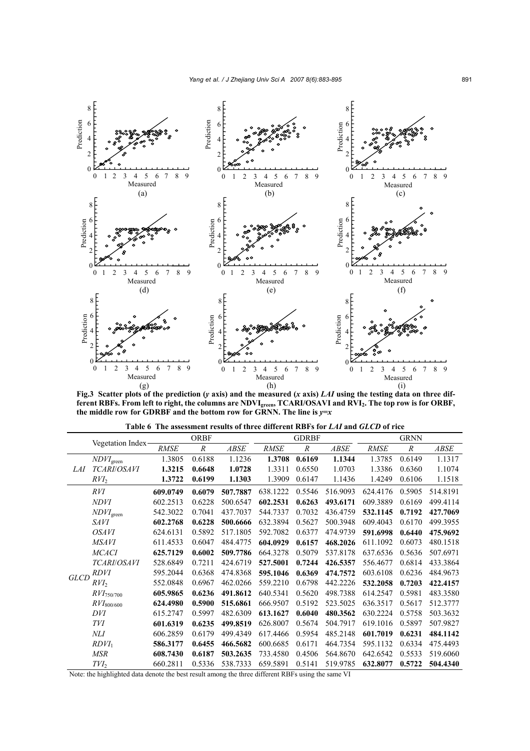

**Fig.3 Scatter plots of the prediction (***y* **axis) and the measured (***x* **axis)** *LAI* **using the testing data on three different RBFs. From left to right, the columns are NDVIgreen, TCARI/OSAVI and RVI2. The top row is for ORBF,**  the middle row for GDRBF and the bottom row for GRNN. The line is  $y=x$ 

|             | Vegetation Index-        |             | <b>ORBF</b>      |          |             | <b>GDRBF</b> |          |             | <b>GRNN</b> |             |
|-------------|--------------------------|-------------|------------------|----------|-------------|--------------|----------|-------------|-------------|-------------|
|             |                          | <b>RMSE</b> | $\boldsymbol{R}$ | ABSE     | <b>RMSE</b> | $\cal R$     | ABSE     | <b>RMSE</b> | $\cal R$    | <b>ABSE</b> |
|             | $NDVI$ <sub>green</sub>  | 1.3805      | 0.6188           | 1.1236   | 1.3708      | 0.6169       | 1.1344   | 1.3785      | 0.6149      | 1.1317      |
| LAI         | <b>TCARI/OSAVI</b>       | 1.3215      | 0.6648           | 1.0728   | 1.3311      | 0.6550       | 1.0703   | 1.3386      | 0.6360      | 1.1074      |
|             | $RVI_2$                  | 1.3722      | 0.6199           | 1.1303   | 1.3909      | 0.6147       | 1.1436   | 1.4249      | 0.6106      | 1.1518      |
|             | RVI                      | 609.0749    | 0.6079           | 507.7887 | 638.1222    | 0.5546       | 516.9093 | 624.4176    | 0.5905      | 514.8191    |
|             | <i>NDVI</i>              | 602.2513    | 0.6228           | 500.6547 | 602.2531    | 0.6263       | 493.6171 | 609.3889    | 0.6169      | 499.4114    |
|             | NDVI <sub>green</sub>    | 542.3022    | 0.7041           | 437.7037 | 544.7337    | 0.7032       | 436.4759 | 532.1145    | 0.7192      | 427.7069    |
|             | <i>SAVI</i>              | 602.2768    | 0.6228           | 500.6666 | 632.3894    | 0.5627       | 500.3948 | 609.4043    | 0.6170      | 499.3955    |
|             | <b>OSAVI</b>             | 624.6131    | 0.5892           | 517.1805 | 592.7082    | 0.6377       | 474.9739 | 591.6998    | 0.6440      | 475.9692    |
|             | <b>MSAVI</b>             | 611.4533    | 0.6047           | 484.4775 | 604.0929    | 0.6157       | 468.2026 | 611.1092    | 0.6073      | 480.1518    |
|             | <b>MCACI</b>             | 625.7129    | 0.6002           | 509.7786 | 664.3278    | 0.5079       | 537.8178 | 637.6536    | 0.5636      | 507.6971    |
|             | TCARI/OSAVI              | 528.6849    | 0.7211           | 424.6719 | 527.5001    | 0.7244       | 426.5357 | 556.4677    | 0.6814      | 433.3864    |
|             | <i>RDVI</i>              | 595.2044    | 0.6368           | 474.8368 | 595.1046    | 0.6369       | 474.7572 | 603.6108    | 0.6236      | 484.9673    |
| <b>GLCD</b> | $RVI_2$                  | 552.0848    | 0.6967           | 462.0266 | 559.2210    | 0.6798       | 442.2226 | 532.2058    | 0.7203      | 422.4157    |
|             | $RVI_{750/700}$          | 605.9865    | 0.6236           | 491.8612 | 640.5341    | 0.5620       | 498.7388 | 614.2547    | 0.5981      | 483.3580    |
|             | $\mathit{RVI}_{800/600}$ | 624.4980    | 0.5900           | 515.6861 | 666.9507    | 0.5192       | 523.5025 | 636.3517    | 0.5617      | 512.3777    |
|             | DVI                      | 615.2747    | 0.5997           | 482.6309 | 613.1627    | 0.6040       | 480.3562 | 630.2224    | 0.5758      | 503.3632    |
|             | TVI                      | 601.6319    | 0.6235           | 499.8519 | 626.8007    | 0.5674       | 504.7917 | 619.1016    | 0.5897      | 507.9827    |
|             | NLI                      | 606.2859    | 0.6179           | 499.4349 | 617.4466    | 0.5954       | 485.2148 | 601.7019    | 0.6231      | 484.1142    |
|             | $RDVI_1$                 | 586.3177    | 0.6455           | 466.5682 | 600.6685    | 0.6171       | 464.7354 | 595.1132    | 0.6334      | 475.4493    |
|             | <b>MSR</b>               | 608.7430    | 0.6187           | 503.2635 | 733.4580    | 0.4506       | 564.8670 | 642.6542    | 0.5533      | 519.6060    |
|             | $TVI_2$                  | 660.2811    | 0.5336           | 538.7333 | 659.5891    | 0.5141       | 519.9785 | 632.8077    | 0.5722      | 504.4340    |

**Table 6 The assessment results of three different RBFs for** *LAI* **and** *GLCD* **of rice** 

Note: the highlighted data denote the best result among the three different RBFs using the same VI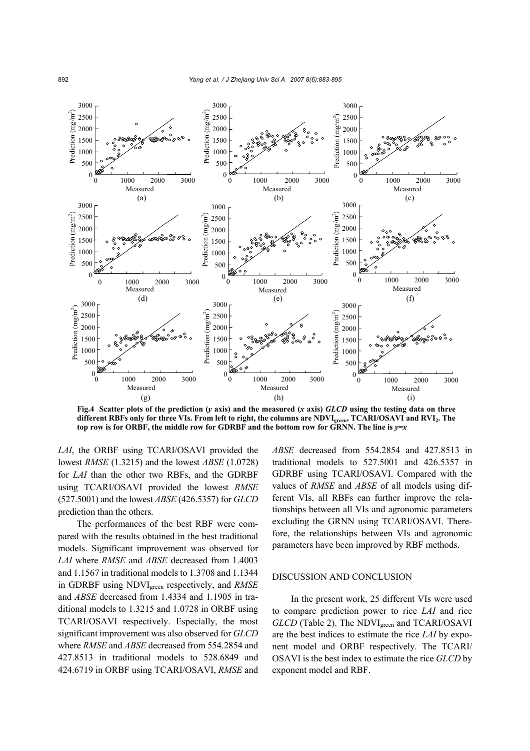

**Fig.4** Scatter plots of the prediction (*y* axis) and the measured (*x* axis)  $GLCD$  using the testing data on three **different RBFs only for three VIs. From left to right, the columns are NDVIgreen, TCARI/OSAVI and RVI2. The** top row is for ORBF, the middle row for GDRBF and the bottom row for GRNN. The line is  $y=x$ 

*LAI*, the ORBF using TCARI/OSAVI provided the lowest *RMSE* (1.3215) and the lowest *ABSE* (1.0728) for *LAI* than the other two RBFs, and the GDRBF using TCARI/OSAVI provided the lowest *RMSE* (527.5001) and the lowest *ABSE* (426.5357) for *GLCD* prediction than the others.

The performances of the best RBF were compared with the results obtained in the best traditional models. Significant improvement was observed for *LAI* where *RMSE* and *ABSE* decreased from 1.4003 and 1.1567 in traditional models to 1.3708 and 1.1344 in GDRBF using NDVIgreen respectively, and *RMSE* and *ABSE* decreased from 1.4334 and 1.1905 in traditional models to 1.3215 and 1.0728 in ORBF using TCARI/OSAVI respectively. Especially, the most significant improvement was also observed for *GLCD* where *RMSE* and *ABSE* decreased from 554.2854 and 427.8513 in traditional models to 528.6849 and 424.6719 in ORBF using TCARI/OSAVI, *RMSE* and

*ABSE* decreased from 554.2854 and 427.8513 in traditional models to 527.5001 and 426.5357 in GDRBF using TCARI/OSAVI. Compared with the values of *RMSE* and *ABSE* of all models using different VIs, all RBFs can further improve the relationships between all VIs and agronomic parameters excluding the GRNN using TCARI/OSAVI. Therefore, the relationships between VIs and agronomic parameters have been improved by RBF methods.

## DISCUSSION AND CONCLUSION

In the present work, 25 different VIs were used to compare prediction power to rice *LAI* and rice *GLCD* (Table 2). The NDVI<sub>green</sub> and TCARI/OSAVI are the best indices to estimate the rice *LAI* by exponent model and ORBF respectively. The TCARI/ OSAVI is the best index to estimate the rice *GLCD* by exponent model and RBF.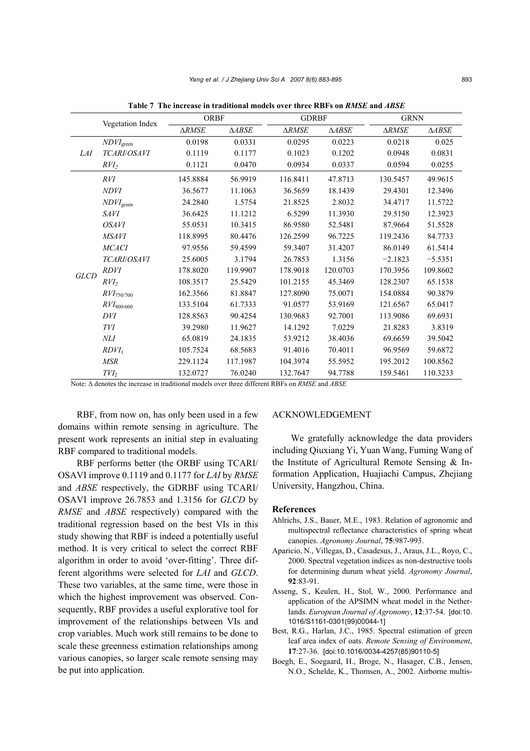|             |                              | <b>ORBF</b>  |                  | <b>GDRBF</b>     |                  | <b>GRNN</b>      |               |  |
|-------------|------------------------------|--------------|------------------|------------------|------------------|------------------|---------------|--|
|             | Vegetation Index             | <b>ARMSE</b> | $\triangle ABSE$ | $\triangle RMSE$ | $\triangle ABSE$ | $\triangle RMSE$ | $\Delta ABSE$ |  |
|             | $NDVI_\mathrm{green}$        | 0.0198       | 0.0331           | 0.0295           | 0.0223           | 0.0218           | 0.025         |  |
| <i>LAI</i>  | TCARI/OSAVI                  | 0.1119       | 0.1177           | 0.1023           | 0.1202           | 0.0948           | 0.0831        |  |
|             | $RVI_2$                      | 0.1121       | 0.0470           | 0.0934           | 0.0337           | 0.0594           | 0.0255        |  |
|             | RVI                          | 145.8884     | 56.9919          | 116.8411         | 47.8713          | 130.5457         | 49.9615       |  |
|             | <b>NDVI</b>                  | 36.5677      | 11.1063          | 36.5659          | 18.1439          | 29.4301          | 12.3496       |  |
|             | $\textit{NDVI}_\text{green}$ | 24.2840      | 1.5754           | 21.8525          | 2.8032           | 34.4717          | 11.5722       |  |
|             | SAVI                         | 36.6425      | 11.1212          | 6.5299           | 11.3930          | 29.5150          | 12.3923       |  |
|             | <i><b>OSAVI</b></i>          | 55.0531      | 10.3415          | 86.9580          | 52.5481          | 87.9664          | 51.5528       |  |
|             | <b>MSAVI</b>                 | 118.8995     | 80.4476          | 126.2599         | 96.7225          | 119.2436         | 84.7733       |  |
|             | <b>MCACI</b>                 | 97.9556      | 59.4599          | 59.3407          | 31.4207          | 86.0149          | 61.5414       |  |
|             | TCARI/OSAVI                  | 25.6005      | 3.1794           | 26.7853          | 1.3156           | $-2.1823$        | $-5.5351$     |  |
|             | <b>RDVI</b>                  | 178.8020     | 119.9907         | 178.9018         | 120.0703         | 170.3956         | 109.8602      |  |
| <b>GLCD</b> | $RVI_2$                      | 108.3517     | 25.5429          | 101.2155         | 45.3469          | 128.2307         | 65.1538       |  |
|             | $RVI_{750/700}$              | 162.3566     | 81.8847          | 127.8090         | 75.0071          | 154.0884         | 90.3879       |  |
|             | $RVI_{800/600}$              | 133.5104     | 61.7333          | 91.0577          | 53.9169          | 121.6567         | 65.0417       |  |
|             | DVI                          | 128.8563     | 90.4254          | 130.9683         | 92.7001          | 113.9086         | 69.6931       |  |
|             | <b>TVI</b>                   | 39.2980      | 11.9627          | 14.1292          | 7.0229           | 21.8283          | 3.8319        |  |
|             | NLI                          | 65.0819      | 24.1835          | 53.9212          | 38.4036          | 69.6659          | 39.5042       |  |
|             | $RDVI_1$                     | 105.7524     | 68.5683          | 91.4016          | 70.4011          | 96.9569          | 59.6872       |  |
|             | <b>MSR</b>                   | 229.1124     | 117.1987         | 104.3974         | 55.5952          | 195.2012         | 100.8562      |  |
|             | $TVI_2$                      | 132.0727     | 76.0240          | 132.7647         | 94.7788          | 159.5461         | 110.3233      |  |

**Table 7 The increase in traditional models over three RBFs on** *RMSE* **and** *ABSE*

Note: ∆ denotes the increase in traditional models over three different RBFs on *RMSE* and *ABSE*

RBF, from now on, has only been used in a few domains within remote sensing in agriculture. The present work represents an initial step in evaluating RBF compared to traditional models.

RBF performs better (the ORBF using TCARI/ OSAVI improve 0.1119 and 0.1177 for *LAI* by *RMSE* and *ABSE* respectively, the GDRBF using TCARI/ OSAVI improve 26.7853 and 1.3156 for *GLCD* by *RMSE* and *ABSE* respectively) compared with the traditional regression based on the best VIs in this study showing that RBF is indeed a potentially useful method. It is very critical to select the correct RBF algorithm in order to avoid 'over-fitting'. Three different algorithms were selected for *LAI* and *GLCD*. These two variables, at the same time, were those in which the highest improvement was observed. Consequently, RBF provides a useful explorative tool for improvement of the relationships between VIs and crop variables. Much work still remains to be done to scale these greenness estimation relationships among various canopies, so larger scale remote sensing may be put into application.

#### ACKNOWLEDGEMENT

We gratefully acknowledge the data providers including Qiuxiang Yi, Yuan Wang, Fuming Wang of the Institute of Agricultural Remote Sensing & Information Application, Huajiachi Campus, Zhejiang University, Hangzhou, China.

#### **References**

- Ahlrichs, J.S., Bauer, M.E., 1983. Relation of agronomic and multispectral reflectance characteristics of spring wheat canopies. *Agronomy Journal*, **75**:987-993.
- Aparicio, N., Villegas, D., Casadesus, J., Araus, J.L., Royo, C., 2000. Spectral vegetation indices as non-destructive tools for determining durum wheat yield. *Agronomy Journal*, **92**:83-91.
- Asseng, S., Keulen, H., Stol, W., 2000. Performance and application of the APSIMN wheat model in the Netherlands. *European Journal of Agronomy*, **12**:37-54. [doi:10. 1016/S1161-0301(99)00044-1]
- Best, R.G., Harlan, J.C., 1985. Spectral estimation of green leaf area index of oats. *Remote Sensing of Environment*, **17**:27-36. [doi:10.1016/0034-4257(85)90110-5]
- Boegh, E., Soegaard, H., Broge, N., Hasager, C.B., Jensen, N.O., Schelde, K., Thomsen, A., 2002. Airborne multis-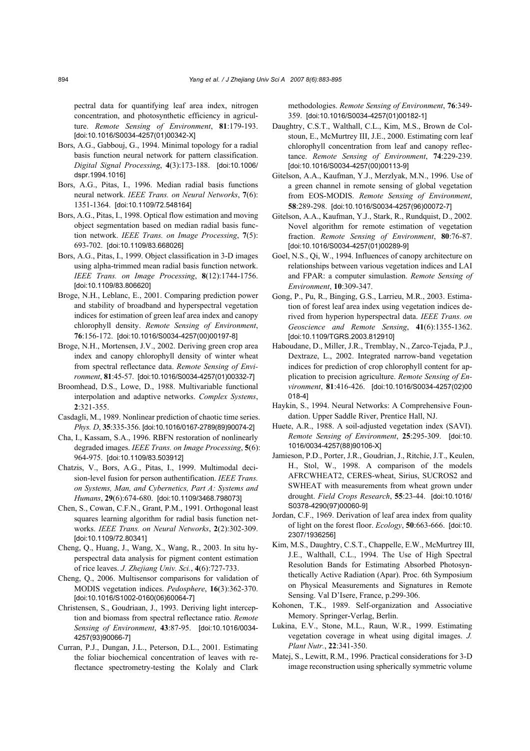pectral data for quantifying leaf area index, nitrogen concentration, and photosynthetic efficiency in agriculture. *Remote Sensing of Environment*, **81**:179-193. [doi:10.1016/S0034-4257(01)00342-X]

- Bors, A.G., Gabbouj, G., 1994. Minimal topology for a radial basis function neural network for pattern classification. *Digital Signal Processing*, **4**(3):173-188. [doi:10.1006/ dspr.1994.1016]
- Bors, A.G., Pitas, I., 1996. Median radial basis functions neural network. *IEEE Trans. on Neural Networks*, **7**(6): 1351-1364. [doi:10.1109/72.548164]
- Bors, A.G., Pitas, I., 1998. Optical flow estimation and moving object segmentation based on median radial basis function network. *IEEE Trans. on Image Processing*, **7**(5): 693-702. [doi:10.1109/83.668026]
- Bors, A.G., Pitas, I., 1999. Object classification in 3-D images using alpha-trimmed mean radial basis function network. *IEEE Trans. on Image Processing*, **8**(12):1744-1756. [doi:10.1109/83.806620]
- Broge, N.H., Leblanc, E., 2001. Comparing prediction power and stability of broadband and hyperspectral vegetation indices for estimation of green leaf area index and canopy chlorophyll density. *Remote Sensing of Environment*, **76**:156-172. [doi:10.1016/S0034-4257(00)00197-8]
- Broge, N.H., Mortensen, J.V., 2002. Deriving green crop area index and canopy chlorophyll density of winter wheat from spectral reflectance data. *Remote Sensing of Environment*, **81**:45-57. [doi:10.1016/S0034-4257(01)00332-7]
- Broomhead, D.S., Lowe, D., 1988. Multivariable functional interpolation and adaptive networks. *Complex Systems*, **2**:321-355.
- Casdagli, M., 1989. Nonlinear prediction of chaotic time series. *Phys. D*, **35**:335-356. [doi:10.1016/0167-2789(89)90074-2]
- Cha, I., Kassam, S.A., 1996. RBFN restoration of nonlinearly degraded images. *IEEE Trans. on Image Processing*, **5**(6): 964-975. [doi:10.1109/83.503912]
- Chatzis, V., Bors, A.G., Pitas, I., 1999. Multimodal decision-level fusion for person authentification. *IEEE Trans. on Systems, Man, and Cybernetics, Part A: Systems and Humans*, **29**(6):674-680. [doi:10.1109/3468.798073]
- Chen, S., Cowan, C.F.N., Grant, P.M., 1991. Orthogonal least squares learning algorithm for radial basis function networks. *IEEE Trans. on Neural Networks*, **2**(2):302-309. [doi:10.1109/72.80341]
- Cheng, Q., Huang, J., Wang, X., Wang, R., 2003. In situ hyperspectral data analysis for pigment content estimation of rice leaves. *J. Zhejiang Univ. Sci.*, **4**(6):727-733.
- Cheng, Q., 2006. Multisensor comparisons for validation of MODIS vegetation indices. *Pedosphere*, **16**(3):362-370. [doi:10.1016/S1002-0160(06)60064-7]
- Christensen, S., Goudriaan, J., 1993. Deriving light interception and biomass from spectral reflectance ratio. *Remote Sensing of Environment*, **43**:87-95. [doi:10.1016/0034- 4257(93)90066-7]
- Curran, P.J., Dungan, J.L., Peterson, D.L., 2001. Estimating the foliar biochemical concentration of leaves with reflectance spectrometry-testing the Kolaly and Clark

methodologies. *Remote Sensing of Environment*, **76**:349- 359. [doi:10.1016/S0034-4257(01)00182-1]

- Daughtry, C.S.T., Walthall, C.L., Kim, M.S., Brown de Colstoun, E., McMurtrey III, J.E., 2000. Estimating corn leaf chlorophyll concentration from leaf and canopy reflectance. *Remote Sensing of Environment*, **74**:229-239. [doi:10.1016/S0034-4257(00)00113-9]
- Gitelson, A.A., Kaufman, Y.J., Merzlyak, M.N., 1996. Use of a green channel in remote sensing of global vegetation from EOS-MODIS. *Remote Sensing of Environment*, **58**:289-298. [doi:10.1016/S0034-4257(96)00072-7]
- Gitelson, A.A., Kaufman, Y.J., Stark, R., Rundquist, D., 2002. Novel algorithm for remote estimation of vegetation fraction. *Remote Sensing of Environment*, **80**:76-87. [doi:10.1016/S0034-4257(01)00289-9]
- Goel, N.S., Qi, W., 1994. Influences of canopy architecture on relationships between various vegetation indices and LAI and FPAR: a computer simulastion. *Remote Sensing of Environment*, **10**:309-347.
- Gong, P., Pu, R., Binging, G.S., Larrieu, M.R., 2003. Estimation of forest leaf area index using vegetation indices derived from hyperion hyperspectral data. *IEEE Trans. on Geoscience and Remote Sensing*, **41**(6):1355-1362. [doi:10.1109/TGRS.2003.812910]
- Haboudane, D., Miller, J.R., Tremblay, N., Zarco-Tejada, P.J., Dextraze, L., 2002. Integrated narrow-band vegetation indices for prediction of crop chlorophyll content for application to precision agriculture. *Remote Sensing of Environment*, **81**:416-426. [doi:10.1016/S0034-4257(02)00 018-4]
- Haykin, S., 1994. Neural Networks: A Comprehensive Foundation. Upper Saddle River, Prentice Hall, NJ.
- Huete, A.R., 1988. A soil-adjusted vegetation index (SAVI). *Remote Sensing of Environment*, **25**:295-309. [doi:10. 1016/0034-4257(88)90106-X]
- Jamieson, P.D., Porter, J.R., Goudrian, J., Ritchie, J.T., Keulen, H., Stol, W., 1998. A comparison of the models AFRCWHEAT2, CERES-wheat, Sirius, SUCROS2 and SWHEAT with measurements from wheat grown under drought. *Field Crops Research*, **55**:23-44. [doi:10.1016/ S0378-4290(97)00060-9]
- Jordan, C.F., 1969. Derivation of leaf area index from quality of light on the forest floor. *Ecology*, **50**:663-666. [doi:10. 2307/1936256]
- Kim, M.S., Daughtry, C.S.T., Chappelle, E.W., McMurtrey III, J.E., Walthall, C.L., 1994. The Use of High Spectral Resolution Bands for Estimating Absorbed Photosynthetically Active Radiation (Apar). Proc. 6th Symposium on Physical Measurements and Signatures in Remote Sensing. Val D'Isere, France, p.299-306.
- Kohonen, T.K., 1989. Self-organization and Associative Memory. Springer-Verlag, Berlin.
- Lukina, E.V., Stone, M.L., Raun, W.R., 1999. Estimating vegetation coverage in wheat using digital images. *J. Plant Nutr.*, **22**:341-350.
- Matej, S., Lewitt, R.M., 1996. Practical considerations for 3-D image reconstruction using spherically symmetric volume